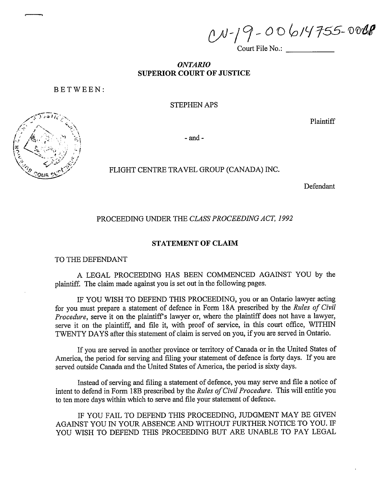$ON-19-00614755-0008$ 

Court File No.:

# **ONTARIO SUPERIOR COURT OF JUSTICE**

BETWEEN:

**STEPHEN APS** 

Plaintiff

 $-$  and  $-$ 

FLIGHT CENTRE TRAVEL GROUP (CANADA) INC.

Defendant

PROCEEDING UNDER THE CLASS PROCEEDING ACT, 1992

# STATEMENT OF CLAIM

TO THE DEFENDANT

A LEGAL PROCEEDING HAS BEEN COMMENCED AGAINST YOU by the plaintiff. The claim made against you is set out in the following pages.

IF YOU WISH TO DEFEND THIS PROCEEDING, you or an Ontario lawyer acting for you must prepare a statement of defence in Form 18A prescribed by the Rules of Civil *Procedure*, serve it on the plaintiff's lawyer or, where the plaintiff does not have a lawyer, serve it on the plaintiff, and file it, with proof of service, in this court office, WITHIN TWENTY DAYS after this statement of claim is served on you, if you are served in Ontario.

If you are served in another province or territory of Canada or in the United States of America, the period for serving and filing your statement of defence is forty days. If you are served outside Canada and the United States of America, the period is sixty days.

Instead of serving and filing a statement of defence, you may serve and file a notice of intent to defend in Form 18B prescribed by the *Rules of Civil Procedure*. This will entitle you to ten more days within which to serve and file your statement of defence.

IF YOU FAIL TO DEFEND THIS PROCEEDING, JUDGMENT MAY BE GIVEN AGAINST YOU IN YOUR ABSENCE AND WITHOUT FURTHER NOTICE TO YOU. IF YOU WISH TO DEFEND THIS PROCEEDING BUT ARE UNABLE TO PAY LEGAL

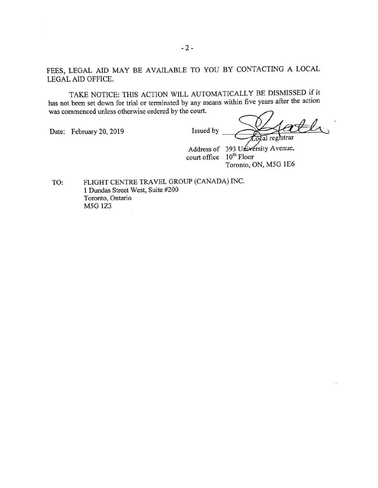FEES, LEGAL AID MAY BE AVAILABLE TO YOU BY CONTACTING A LOCAL LEGAL AID OFFICE.

TAKE NOTICE: THIS ACTION WILL AUTOMATICALLY BE DISMISSED if it has not been set down for trial or terminated by any means within five years after the action was commenced unless otherwise ordered by the court.

Date: February 20, 2019

Issued by

 $AL$ cocal registrar

Address of 393 University Avenue, court office 10<sup>th</sup> Floor Toronto, ON, M5G 1E6

FLIGHT CENTRE TRAVEL GROUP (CANADA) INC. TO: 1 Dundas Street West, Suite #200 Toronto, Ontario M5G 1Z3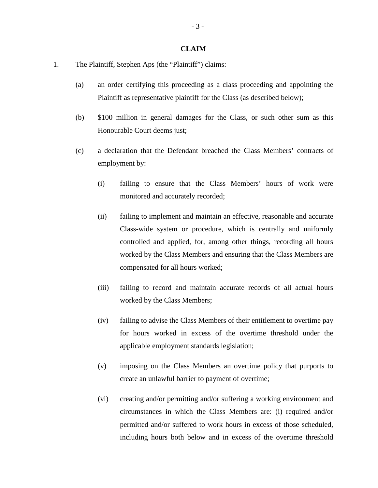### **CLAIM**

- 1. The Plaintiff, Stephen Aps (the "Plaintiff") claims:
	- (a) an order certifying this proceeding as a class proceeding and appointing the Plaintiff as representative plaintiff for the Class (as described below);
	- (b) \$100 million in general damages for the Class, or such other sum as this Honourable Court deems just;
	- (c) a declaration that the Defendant breached the Class Members' contracts of employment by:
		- (i) failing to ensure that the Class Members' hours of work were monitored and accurately recorded;
		- (ii) failing to implement and maintain an effective, reasonable and accurate Class-wide system or procedure, which is centrally and uniformly controlled and applied, for, among other things, recording all hours worked by the Class Members and ensuring that the Class Members are compensated for all hours worked;
		- (iii) failing to record and maintain accurate records of all actual hours worked by the Class Members;
		- (iv) failing to advise the Class Members of their entitlement to overtime pay for hours worked in excess of the overtime threshold under the applicable employment standards legislation;
		- (v) imposing on the Class Members an overtime policy that purports to create an unlawful barrier to payment of overtime;
		- (vi) creating and/or permitting and/or suffering a working environment and circumstances in which the Class Members are: (i) required and/or permitted and/or suffered to work hours in excess of those scheduled, including hours both below and in excess of the overtime threshold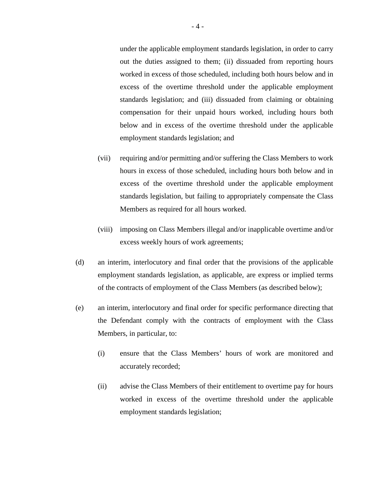under the applicable employment standards legislation, in order to carry out the duties assigned to them; (ii) dissuaded from reporting hours worked in excess of those scheduled, including both hours below and in excess of the overtime threshold under the applicable employment standards legislation; and (iii) dissuaded from claiming or obtaining compensation for their unpaid hours worked, including hours both below and in excess of the overtime threshold under the applicable employment standards legislation; and

- (vii) requiring and/or permitting and/or suffering the Class Members to work hours in excess of those scheduled, including hours both below and in excess of the overtime threshold under the applicable employment standards legislation, but failing to appropriately compensate the Class Members as required for all hours worked.
- (viii) imposing on Class Members illegal and/or inapplicable overtime and/or excess weekly hours of work agreements;
- (d) an interim, interlocutory and final order that the provisions of the applicable employment standards legislation, as applicable, are express or implied terms of the contracts of employment of the Class Members (as described below);
- (e) an interim, interlocutory and final order for specific performance directing that the Defendant comply with the contracts of employment with the Class Members, in particular, to:
	- (i) ensure that the Class Members' hours of work are monitored and accurately recorded;
	- (ii) advise the Class Members of their entitlement to overtime pay for hours worked in excess of the overtime threshold under the applicable employment standards legislation;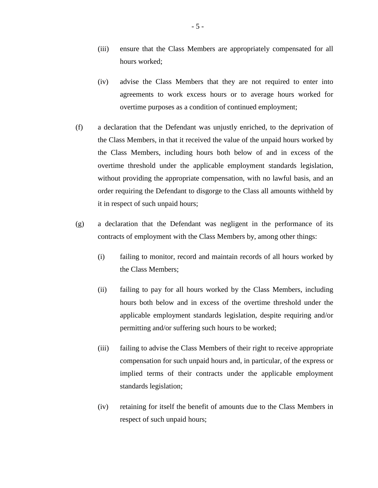- (iii) ensure that the Class Members are appropriately compensated for all hours worked;
- (iv) advise the Class Members that they are not required to enter into agreements to work excess hours or to average hours worked for overtime purposes as a condition of continued employment;
- (f) a declaration that the Defendant was unjustly enriched, to the deprivation of the Class Members, in that it received the value of the unpaid hours worked by the Class Members, including hours both below of and in excess of the overtime threshold under the applicable employment standards legislation, without providing the appropriate compensation, with no lawful basis, and an order requiring the Defendant to disgorge to the Class all amounts withheld by it in respect of such unpaid hours;
- (g) a declaration that the Defendant was negligent in the performance of its contracts of employment with the Class Members by, among other things:
	- (i) failing to monitor, record and maintain records of all hours worked by the Class Members;
	- (ii) failing to pay for all hours worked by the Class Members, including hours both below and in excess of the overtime threshold under the applicable employment standards legislation, despite requiring and/or permitting and/or suffering such hours to be worked;
	- (iii) failing to advise the Class Members of their right to receive appropriate compensation for such unpaid hours and, in particular, of the express or implied terms of their contracts under the applicable employment standards legislation;
	- (iv) retaining for itself the benefit of amounts due to the Class Members in respect of such unpaid hours;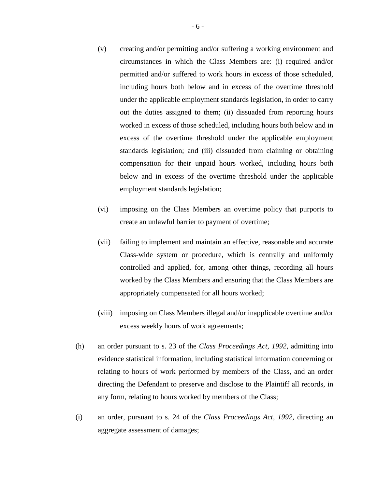- (v) creating and/or permitting and/or suffering a working environment and circumstances in which the Class Members are: (i) required and/or permitted and/or suffered to work hours in excess of those scheduled, including hours both below and in excess of the overtime threshold under the applicable employment standards legislation, in order to carry out the duties assigned to them; (ii) dissuaded from reporting hours worked in excess of those scheduled, including hours both below and in excess of the overtime threshold under the applicable employment standards legislation; and (iii) dissuaded from claiming or obtaining compensation for their unpaid hours worked, including hours both below and in excess of the overtime threshold under the applicable employment standards legislation;
- (vi) imposing on the Class Members an overtime policy that purports to create an unlawful barrier to payment of overtime;
- (vii) failing to implement and maintain an effective, reasonable and accurate Class-wide system or procedure, which is centrally and uniformly controlled and applied, for, among other things, recording all hours worked by the Class Members and ensuring that the Class Members are appropriately compensated for all hours worked;
- (viii) imposing on Class Members illegal and/or inapplicable overtime and/or excess weekly hours of work agreements;
- (h) an order pursuant to s. 23 of the *Class Proceedings Act, 1992*, admitting into evidence statistical information, including statistical information concerning or relating to hours of work performed by members of the Class, and an order directing the Defendant to preserve and disclose to the Plaintiff all records, in any form, relating to hours worked by members of the Class;
- (i) an order, pursuant to s. 24 of the *Class Proceedings Act, 1992*, directing an aggregate assessment of damages;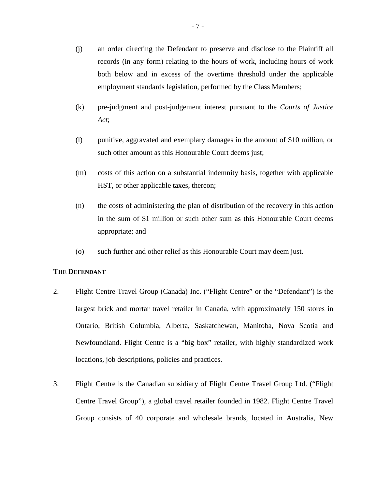- (j) an order directing the Defendant to preserve and disclose to the Plaintiff all records (in any form) relating to the hours of work, including hours of work both below and in excess of the overtime threshold under the applicable employment standards legislation, performed by the Class Members;
- (k) pre-judgment and post-judgement interest pursuant to the *Courts of Justice Act*;
- (l) punitive, aggravated and exemplary damages in the amount of \$10 million, or such other amount as this Honourable Court deems just;
- (m) costs of this action on a substantial indemnity basis, together with applicable HST, or other applicable taxes, thereon;
- (n) the costs of administering the plan of distribution of the recovery in this action in the sum of \$1 million or such other sum as this Honourable Court deems appropriate; and
- (o) such further and other relief as this Honourable Court may deem just.

### **THE DEFENDANT**

- 2. Flight Centre Travel Group (Canada) Inc. ("Flight Centre" or the "Defendant") is the largest brick and mortar travel retailer in Canada, with approximately 150 stores in Ontario, British Columbia, Alberta, Saskatchewan, Manitoba, Nova Scotia and Newfoundland. Flight Centre is a "big box" retailer, with highly standardized work locations, job descriptions, policies and practices.
- 3. Flight Centre is the Canadian subsidiary of Flight Centre Travel Group Ltd. ("Flight Centre Travel Group"), a global travel retailer founded in 1982. Flight Centre Travel Group consists of 40 corporate and wholesale brands, located in Australia, New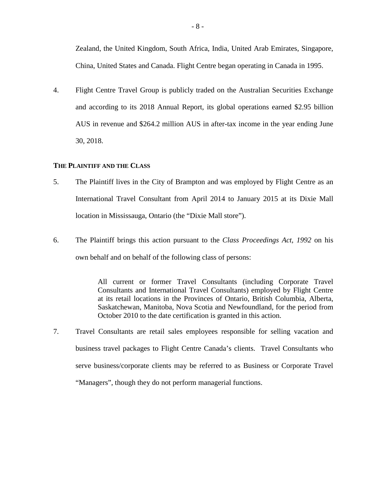Zealand, the United Kingdom, South Africa, India, United Arab Emirates, Singapore, China, United States and Canada. Flight Centre began operating in Canada in 1995.

4. Flight Centre Travel Group is publicly traded on the Australian Securities Exchange and according to its 2018 Annual Report, its global operations earned \$2.95 billion AUS in revenue and \$264.2 million AUS in after-tax income in the year ending June 30, 2018.

### **THE PLAINTIFF AND THE CLASS**

- 5. The Plaintiff lives in the City of Brampton and was employed by Flight Centre as an International Travel Consultant from April 2014 to January 2015 at its Dixie Mall location in Mississauga, Ontario (the "Dixie Mall store").
- 6. The Plaintiff brings this action pursuant to the *Class Proceedings Act, 1992* on his own behalf and on behalf of the following class of persons:

All current or former Travel Consultants (including Corporate Travel Consultants and International Travel Consultants) employed by Flight Centre at its retail locations in the Provinces of Ontario, British Columbia, Alberta, Saskatchewan, Manitoba, Nova Scotia and Newfoundland, for the period from October 2010 to the date certification is granted in this action.

7. Travel Consultants are retail sales employees responsible for selling vacation and business travel packages to Flight Centre Canada's clients. Travel Consultants who serve business/corporate clients may be referred to as Business or Corporate Travel "Managers", though they do not perform managerial functions.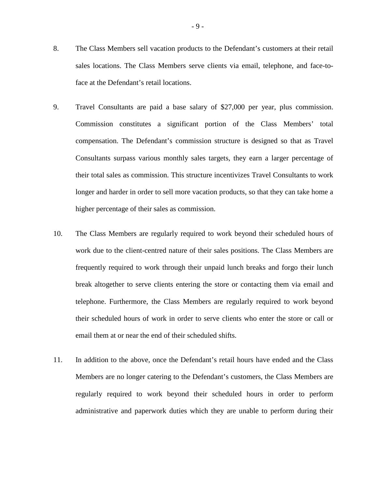- 8. The Class Members sell vacation products to the Defendant's customers at their retail sales locations. The Class Members serve clients via email, telephone, and face-toface at the Defendant's retail locations.
- 9. Travel Consultants are paid a base salary of \$27,000 per year, plus commission. Commission constitutes a significant portion of the Class Members' total compensation. The Defendant's commission structure is designed so that as Travel Consultants surpass various monthly sales targets, they earn a larger percentage of their total sales as commission. This structure incentivizes Travel Consultants to work longer and harder in order to sell more vacation products, so that they can take home a higher percentage of their sales as commission.
- 10. The Class Members are regularly required to work beyond their scheduled hours of work due to the client-centred nature of their sales positions. The Class Members are frequently required to work through their unpaid lunch breaks and forgo their lunch break altogether to serve clients entering the store or contacting them via email and telephone. Furthermore, the Class Members are regularly required to work beyond their scheduled hours of work in order to serve clients who enter the store or call or email them at or near the end of their scheduled shifts.
- 11. In addition to the above, once the Defendant's retail hours have ended and the Class Members are no longer catering to the Defendant's customers, the Class Members are regularly required to work beyond their scheduled hours in order to perform administrative and paperwork duties which they are unable to perform during their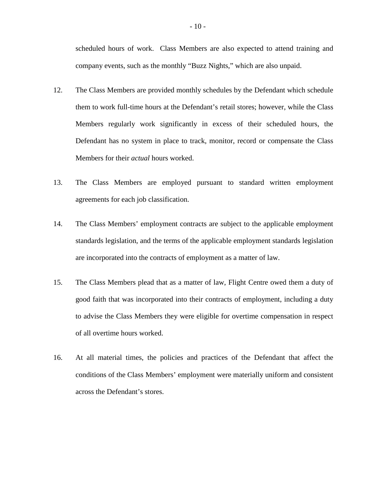scheduled hours of work. Class Members are also expected to attend training and company events, such as the monthly "Buzz Nights," which are also unpaid.

- 12. The Class Members are provided monthly schedules by the Defendant which schedule them to work full-time hours at the Defendant's retail stores; however, while the Class Members regularly work significantly in excess of their scheduled hours, the Defendant has no system in place to track, monitor, record or compensate the Class Members for their *actual* hours worked.
- 13. The Class Members are employed pursuant to standard written employment agreements for each job classification.
- 14. The Class Members' employment contracts are subject to the applicable employment standards legislation, and the terms of the applicable employment standards legislation are incorporated into the contracts of employment as a matter of law.
- 15. The Class Members plead that as a matter of law, Flight Centre owed them a duty of good faith that was incorporated into their contracts of employment, including a duty to advise the Class Members they were eligible for overtime compensation in respect of all overtime hours worked.
- 16. At all material times, the policies and practices of the Defendant that affect the conditions of the Class Members' employment were materially uniform and consistent across the Defendant's stores.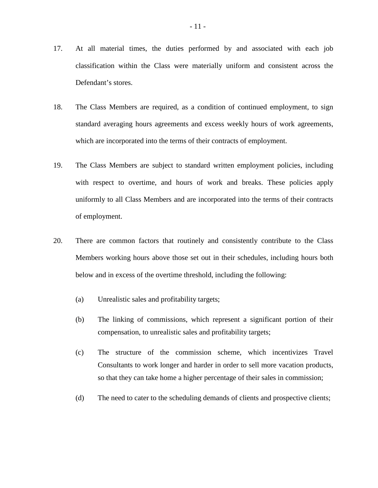- 17. At all material times, the duties performed by and associated with each job classification within the Class were materially uniform and consistent across the Defendant's stores.
- 18. The Class Members are required, as a condition of continued employment, to sign standard averaging hours agreements and excess weekly hours of work agreements, which are incorporated into the terms of their contracts of employment.
- 19. The Class Members are subject to standard written employment policies, including with respect to overtime, and hours of work and breaks. These policies apply uniformly to all Class Members and are incorporated into the terms of their contracts of employment.
- 20. There are common factors that routinely and consistently contribute to the Class Members working hours above those set out in their schedules, including hours both below and in excess of the overtime threshold, including the following:
	- (a) Unrealistic sales and profitability targets;
	- (b) The linking of commissions, which represent a significant portion of their compensation, to unrealistic sales and profitability targets;
	- (c) The structure of the commission scheme, which incentivizes Travel Consultants to work longer and harder in order to sell more vacation products, so that they can take home a higher percentage of their sales in commission;
	- (d) The need to cater to the scheduling demands of clients and prospective clients;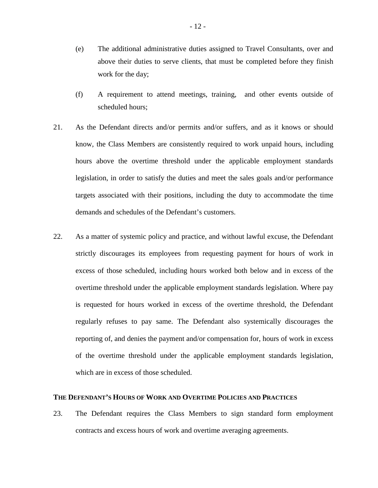- (e) The additional administrative duties assigned to Travel Consultants, over and above their duties to serve clients, that must be completed before they finish work for the day;
- (f) A requirement to attend meetings, training, and other events outside of scheduled hours;
- 21. As the Defendant directs and/or permits and/or suffers, and as it knows or should know, the Class Members are consistently required to work unpaid hours, including hours above the overtime threshold under the applicable employment standards legislation, in order to satisfy the duties and meet the sales goals and/or performance targets associated with their positions, including the duty to accommodate the time demands and schedules of the Defendant's customers.
- 22. As a matter of systemic policy and practice, and without lawful excuse, the Defendant strictly discourages its employees from requesting payment for hours of work in excess of those scheduled, including hours worked both below and in excess of the overtime threshold under the applicable employment standards legislation. Where pay is requested for hours worked in excess of the overtime threshold, the Defendant regularly refuses to pay same. The Defendant also systemically discourages the reporting of, and denies the payment and/or compensation for, hours of work in excess of the overtime threshold under the applicable employment standards legislation, which are in excess of those scheduled.

### **THE DEFENDANT'S HOURS OF WORK AND OVERTIME POLICIES AND PRACTICES**

23. The Defendant requires the Class Members to sign standard form employment contracts and excess hours of work and overtime averaging agreements.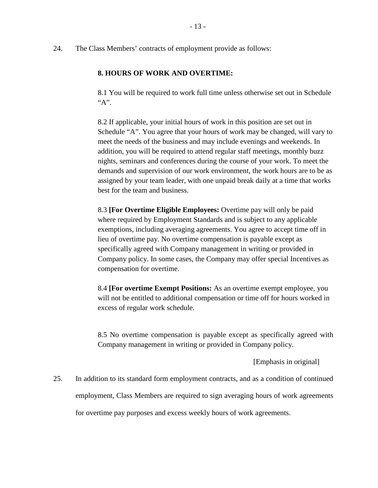24. The Class Members' contracts of employment provide as follows:

### **8. HOURS OF WORK AND OVERTIME:**

8.1 You will be required to work full time unless otherwise set out in Schedule "A".

8.2 If applicable, your initial hours of work in this position are set out in Schedule "A". You agree that your hours of work may be changed, will vary to meet the needs of the business and may include evenings and weekends. In addition, you will be required to attend regular staff meetings, monthly buzz nights, seminars and conferences during the course of your work. To meet the demands and supervision of our work environment, the work hours are to be as assigned by your team leader, with one unpaid break daily at a time that works best for the team and business.

8.3 **[For Overtime Eligible Employees:** Overtime pay will only be paid where required by Employment Standards and is subject to any applicable exemptions, including averaging agreements. You agree to accept time off in lieu of overtime pay. No overtime compensation is payable except as specifically agreed with Company management in writing or provided in Company policy. In some cases, the Company may offer special Incentives as compensation for overtime.

8.4 **[For overtime Exempt Positions:** As an overtime exempt employee, you will not be entitled to additional compensation or time off for hours worked in excess of regular work schedule.

8.5 No overtime compensation is payable except as specifically agreed with Company management in writing or provided in Company policy.

[Emphasis in original]

25. In addition to its standard form employment contracts, and as a condition of continued employment, Class Members are required to sign averaging hours of work agreements for overtime pay purposes and excess weekly hours of work agreements.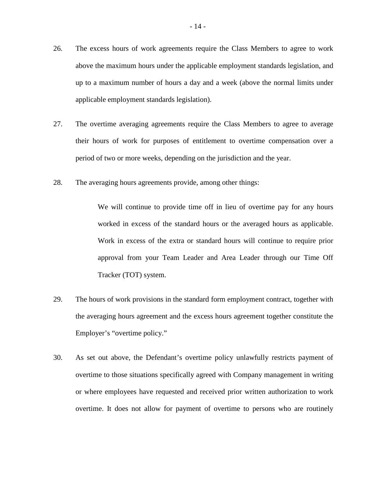- 26. The excess hours of work agreements require the Class Members to agree to work above the maximum hours under the applicable employment standards legislation, and up to a maximum number of hours a day and a week (above the normal limits under applicable employment standards legislation).
- 27. The overtime averaging agreements require the Class Members to agree to average their hours of work for purposes of entitlement to overtime compensation over a period of two or more weeks, depending on the jurisdiction and the year.
- 28. The averaging hours agreements provide, among other things:

We will continue to provide time off in lieu of overtime pay for any hours worked in excess of the standard hours or the averaged hours as applicable. Work in excess of the extra or standard hours will continue to require prior approval from your Team Leader and Area Leader through our Time Off Tracker (TOT) system.

- 29. The hours of work provisions in the standard form employment contract, together with the averaging hours agreement and the excess hours agreement together constitute the Employer's "overtime policy."
- 30. As set out above, the Defendant's overtime policy unlawfully restricts payment of overtime to those situations specifically agreed with Company management in writing or where employees have requested and received prior written authorization to work overtime. It does not allow for payment of overtime to persons who are routinely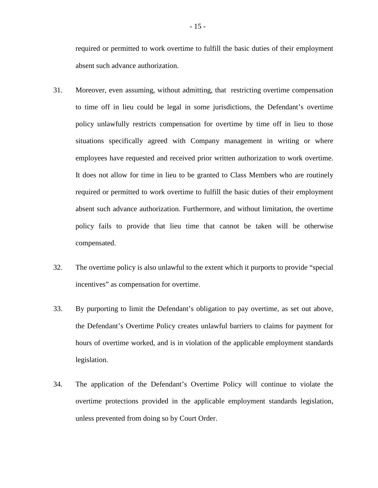required or permitted to work overtime to fulfill the basic duties of their employment absent such advance authorization.

- 31. Moreover, even assuming, without admitting, that restricting overtime compensation to time off in lieu could be legal in some jurisdictions, the Defendant's overtime policy unlawfully restricts compensation for overtime by time off in lieu to those situations specifically agreed with Company management in writing or where employees have requested and received prior written authorization to work overtime. It does not allow for time in lieu to be granted to Class Members who are routinely required or permitted to work overtime to fulfill the basic duties of their employment absent such advance authorization. Furthermore, and without limitation, the overtime policy fails to provide that lieu time that cannot be taken will be otherwise compensated.
- 32. The overtime policy is also unlawful to the extent which it purports to provide "special incentives" as compensation for overtime.
- 33. By purporting to limit the Defendant's obligation to pay overtime, as set out above, the Defendant's Overtime Policy creates unlawful barriers to claims for payment for hours of overtime worked, and is in violation of the applicable employment standards legislation.
- 34. The application of the Defendant's Overtime Policy will continue to violate the overtime protections provided in the applicable employment standards legislation, unless prevented from doing so by Court Order.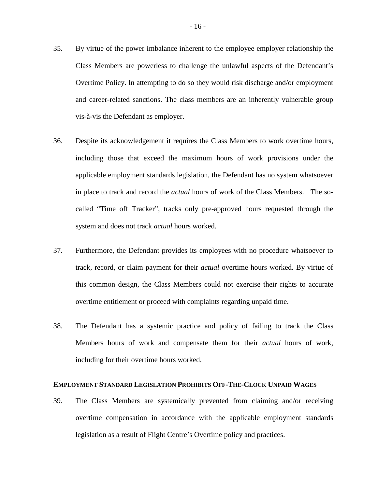- 35. By virtue of the power imbalance inherent to the employee employer relationship the Class Members are powerless to challenge the unlawful aspects of the Defendant's Overtime Policy. In attempting to do so they would risk discharge and/or employment and career-related sanctions. The class members are an inherently vulnerable group vis-à-vis the Defendant as employer.
- 36. Despite its acknowledgement it requires the Class Members to work overtime hours, including those that exceed the maximum hours of work provisions under the applicable employment standards legislation, the Defendant has no system whatsoever in place to track and record the *actual* hours of work of the Class Members. The socalled "Time off Tracker", tracks only pre-approved hours requested through the system and does not track *actual* hours worked.
- 37. Furthermore, the Defendant provides its employees with no procedure whatsoever to track, record, or claim payment for their *actual* overtime hours worked. By virtue of this common design, the Class Members could not exercise their rights to accurate overtime entitlement or proceed with complaints regarding unpaid time.
- 38. The Defendant has a systemic practice and policy of failing to track the Class Members hours of work and compensate them for their *actual* hours of work, including for their overtime hours worked.

# **EMPLOYMENT STANDARD LEGISLATION PROHIBITS OFF-THE-CLOCK UNPAID WAGES**

39. The Class Members are systemically prevented from claiming and/or receiving overtime compensation in accordance with the applicable employment standards legislation as a result of Flight Centre's Overtime policy and practices.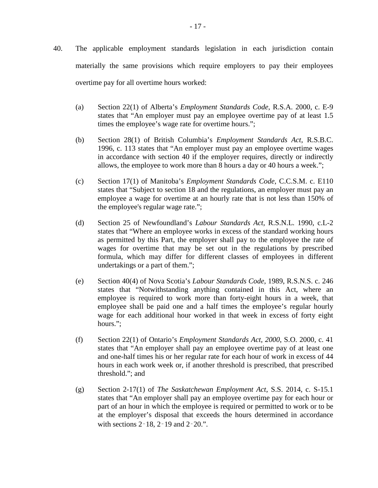- 40. The applicable employment standards legislation in each jurisdiction contain materially the same provisions which require employers to pay their employees overtime pay for all overtime hours worked:
	- (a) Section 22(1) of Alberta's *Employment Standards Code*, R.S.A. 2000, c. E-9 states that "An employer must pay an employee overtime pay of at least 1.5 times the employee's wage rate for overtime hours.";
	- (b) Section 28(1) of British Columbia's *Employment Standards Act*, R.S.B.C. 1996, c. 113 states that "An employer must pay an employee overtime wages in accordance with section 40 if the employer requires, directly or indirectly allows, the employee to work more than 8 hours a day or 40 hours a week.";
	- (c) Section 17(1) of Manitoba's *Employment Standards Code*, C.C.S.M. c. E110 states that "Subject to section 18 and the regulations, an employer must pay an employee a wage for overtime at an hourly rate that is not less than 150% of the employee's regular wage rate.";
	- (d) Section 25 of Newfoundland's *Labour Standards Act,* R.S.N.L. 1990, c.L-2 states that "Where an employee works in excess of the standard working hours as permitted by this Part, the employer shall pay to the employee the rate of wages for overtime that may be set out in the regulations by prescribed formula, which may differ for different classes of employees in different undertakings or a part of them.";
	- (e) Section 40(4) of Nova Scotia's *Labour Standards Code*, 1989, R.S.N.S. c. 246 states that "Notwithstanding anything contained in this Act, where an employee is required to work more than forty-eight hours in a week, that employee shall be paid one and a half times the employee's regular hourly wage for each additional hour worked in that week in excess of forty eight hours.";
	- (f) Section 22(1) of Ontario's *Employment Standards Act, 2000*, S.O. 2000, c. 41 states that "An employer shall pay an employee overtime pay of at least one and one-half times his or her regular rate for each hour of work in excess of 44 hours in each work week or, if another threshold is prescribed, that prescribed threshold."; and
	- (g) Section 2-17(1) of *The Saskatchewan Employment Act*, S.S. 2014, c. S-15.1 states that "An employer shall pay an employee overtime pay for each hour or part of an hour in which the employee is required or permitted to work or to be at the employer's disposal that exceeds the hours determined in accordance with sections 2–18, 2–19 and 2–20.".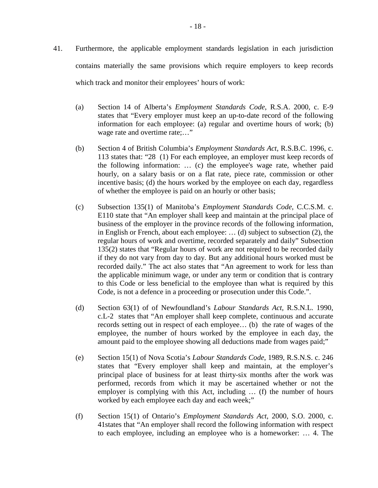- 41. Furthermore, the applicable employment standards legislation in each jurisdiction contains materially the same provisions which require employers to keep records which track and monitor their employees' hours of work:
	- (a) Section 14 of Alberta's *Employment Standards Code*, R.S.A. 2000, c. E-9 states that "Every employer must keep an up-to-date record of the following information for each employee: (a) regular and overtime hours of work; (b) wage rate and overtime rate;..."
	- (b) Section 4 of British Columbia's *Employment Standards Act*, R.S.B.C. 1996, c. 113 states that: "28 (1) For each employee, an employer must keep records of the following information: … (c) the employee's wage rate, whether paid hourly, on a salary basis or on a flat rate, piece rate, commission or other incentive basis; (d) the hours worked by the employee on each day, regardless of whether the employee is paid on an hourly or other basis;
	- (c) Subsection 135(1) of Manitoba's *Employment Standards Code*, C.C.S.M. c. E110 state that "An employer shall keep and maintain at the principal place of business of the employer in the province records of the following information, in English or French, about each employee: … (d) subject to subsection (2), the regular hours of work and overtime, recorded separately and daily" Subsection 135(2) states that "Regular hours of work are not required to be recorded daily if they do not vary from day to day. But any additional hours worked must be recorded daily." The act also states that "An agreement to work for less than the applicable minimum wage, or under any term or condition that is contrary to this Code or less beneficial to the employee than what is required by this Code, is not a defence in a proceeding or prosecution under this Code.".
	- (d) Section 63(1) of of Newfoundland's *Labour Standards Act,* R.S.N.L. 1990, c.L-2 states that "An employer shall keep complete, continuous and accurate records setting out in respect of each employee… (b) the rate of wages of the employee, the number of hours worked by the employee in each day, the amount paid to the employee showing all deductions made from wages paid;"
	- (e) Section 15(1) of Nova Scotia's *Labour Standards Code*, 1989, R.S.N.S. c. 246 states that "Every employer shall keep and maintain, at the employer's principal place of business for at least thirty-six months after the work was performed, records from which it may be ascertained whether or not the employer is complying with this Act, including … (f) the number of hours worked by each employee each day and each week;"
	- (f) Section 15(1) of Ontario's *Employment Standards Act*, 2000, S.O. 2000, c. 41states that "An employer shall record the following information with respect to each employee, including an employee who is a homeworker: … 4. The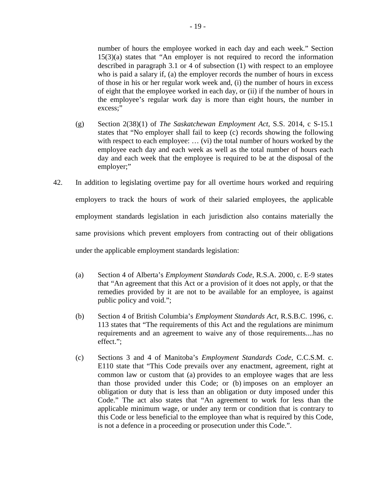number of hours the employee worked in each day and each week." Section 15(3)(a) states that "An employer is not required to record the information described in paragraph 3.1 or 4 of subsection (1) with respect to an employee who is paid a salary if, (a) the employer records the number of hours in excess of those in his or her regular work week and, (i) the number of hours in excess of eight that the employee worked in each day, or (ii) if the number of hours in the employee's regular work day is more than eight hours, the number in excess;"

- (g) Section 2(38)(1) of *The Saskatchewan Employment Act*, S.S. 2014, c S-15.1 states that "No employer shall fail to keep (c) records showing the following with respect to each employee: ... (vi) the total number of hours worked by the employee each day and each week as well as the total number of hours each day and each week that the employee is required to be at the disposal of the employer;"
- 42. In addition to legislating overtime pay for all overtime hours worked and requiring employers to track the hours of work of their salaried employees, the applicable employment standards legislation in each jurisdiction also contains materially the same provisions which prevent employers from contracting out of their obligations under the applicable employment standards legislation:
	- (a) Section 4 of Alberta's *Employment Standards Code*, R.S.A. 2000, c. E-9 states that "An agreement that this Act or a provision of it does not apply, or that the remedies provided by it are not to be available for an employee, is against public policy and void.";
	- (b) Section 4 of British Columbia's *Employment Standards Act*, R.S.B.C. 1996, c. 113 states that "The requirements of this Act and the regulations are minimum requirements and an agreement to waive any of those requirements....has no effect.";
	- (c) Sections 3 and 4 of Manitoba's *Employment Standards Code*, C.C.S.M. c. E110 state that "This Code prevails over any enactment, agreement, right at common law or custom that (a) provides to an employee wages that are less than those provided under this Code; or (b) imposes on an employer an obligation or duty that is less than an obligation or duty imposed under this Code." The act also states that "An agreement to work for less than the applicable minimum wage, or under any term or condition that is contrary to this Code or less beneficial to the employee than what is required by this Code, is not a defence in a proceeding or prosecution under this Code.".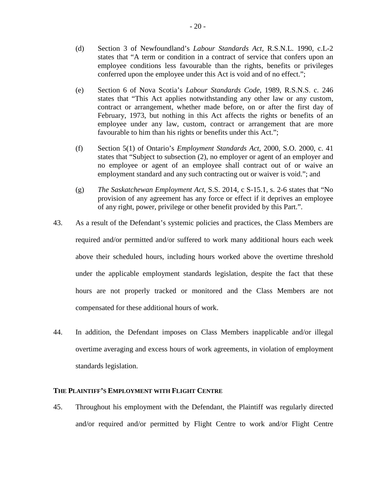- (d) Section 3 of Newfoundland's *Labour Standards Act,* R.S.N.L. 1990, c.L-2 states that "A term or condition in a contract of service that confers upon an employee conditions less favourable than the rights, benefits or privileges conferred upon the employee under this Act is void and of no effect.";
- (e) Section 6 of Nova Scotia's *Labour Standards Code*, 1989, R.S.N.S. c. 246 states that "This Act applies notwithstanding any other law or any custom, contract or arrangement, whether made before, on or after the first day of February, 1973, but nothing in this Act affects the rights or benefits of an employee under any law, custom, contract or arrangement that are more favourable to him than his rights or benefits under this Act.";
- (f) Section 5(1) of Ontario's *Employment Standards Act*, 2000, S.O. 2000, c. 41 states that "Subject to subsection (2), no employer or agent of an employer and no employee or agent of an employee shall contract out of or waive an employment standard and any such contracting out or waiver is void."; and
- (g) *The Saskatchewan Employment Act*, S.S. 2014, c S-15.1, s. 2-6 states that "No provision of any agreement has any force or effect if it deprives an employee of any right, power, privilege or other benefit provided by this Part.".
- 43. As a result of the Defendant's systemic policies and practices, the Class Members are required and/or permitted and/or suffered to work many additional hours each week above their scheduled hours, including hours worked above the overtime threshold under the applicable employment standards legislation, despite the fact that these hours are not properly tracked or monitored and the Class Members are not compensated for these additional hours of work.
- 44. In addition, the Defendant imposes on Class Members inapplicable and/or illegal overtime averaging and excess hours of work agreements, in violation of employment standards legislation.

### **THE PLAINTIFF'S EMPLOYMENT WITH FLIGHT CENTRE**

45. Throughout his employment with the Defendant, the Plaintiff was regularly directed and/or required and/or permitted by Flight Centre to work and/or Flight Centre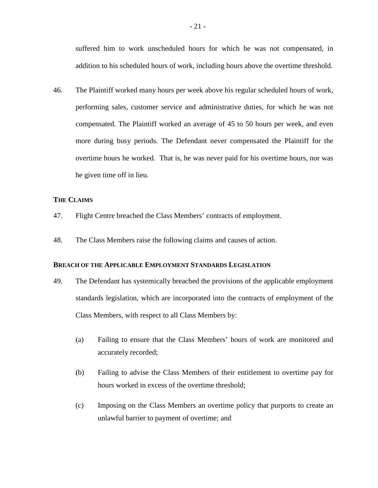suffered him to work unscheduled hours for which he was not compensated, in addition to his scheduled hours of work, including hours above the overtime threshold.

46. The Plaintiff worked many hours per week above his regular scheduled hours of work, performing sales, customer service and administrative duties, for which he was not compensated. The Plaintiff worked an average of 45 to 50 hours per week, and even more during busy periods. The Defendant never compensated the Plaintiff for the overtime hours he worked. That is, he was never paid for his overtime hours, nor was he given time off in lieu.

### **THE CLAIMS**

- 47. Flight Centre breached the Class Members' contracts of employment.
- 48. The Class Members raise the following claims and causes of action.

# **BREACH OF THE APPLICABLE EMPLOYMENT STANDARDS LEGISLATION**

- 49. The Defendant has systemically breached the provisions of the applicable employment standards legislation, which are incorporated into the contracts of employment of the Class Members, with respect to all Class Members by:
	- (a) Failing to ensure that the Class Members' hours of work are monitored and accurately recorded;
	- (b) Failing to advise the Class Members of their entitlement to overtime pay for hours worked in excess of the overtime threshold;
	- (c) Imposing on the Class Members an overtime policy that purports to create an unlawful barrier to payment of overtime; and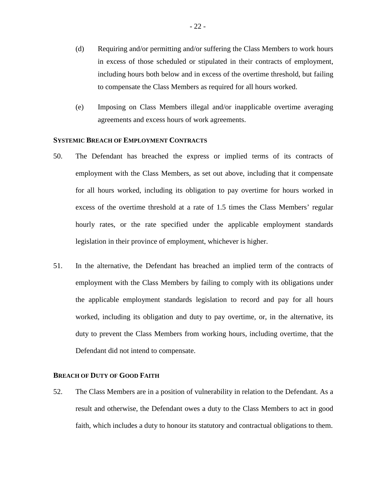- (d) Requiring and/or permitting and/or suffering the Class Members to work hours in excess of those scheduled or stipulated in their contracts of employment, including hours both below and in excess of the overtime threshold, but failing to compensate the Class Members as required for all hours worked.
- (e) Imposing on Class Members illegal and/or inapplicable overtime averaging agreements and excess hours of work agreements.

# **SYSTEMIC BREACH OF EMPLOYMENT CONTRACTS**

- 50. The Defendant has breached the express or implied terms of its contracts of employment with the Class Members, as set out above, including that it compensate for all hours worked, including its obligation to pay overtime for hours worked in excess of the overtime threshold at a rate of 1.5 times the Class Members' regular hourly rates, or the rate specified under the applicable employment standards legislation in their province of employment, whichever is higher.
- 51. In the alternative, the Defendant has breached an implied term of the contracts of employment with the Class Members by failing to comply with its obligations under the applicable employment standards legislation to record and pay for all hours worked, including its obligation and duty to pay overtime, or, in the alternative, its duty to prevent the Class Members from working hours, including overtime, that the Defendant did not intend to compensate.

# **BREACH OF DUTY OF GOOD FAITH**

52. The Class Members are in a position of vulnerability in relation to the Defendant. As a result and otherwise, the Defendant owes a duty to the Class Members to act in good faith, which includes a duty to honour its statutory and contractual obligations to them.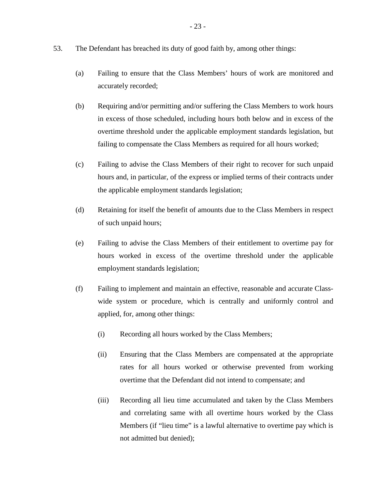- 53. The Defendant has breached its duty of good faith by, among other things:
	- (a) Failing to ensure that the Class Members' hours of work are monitored and accurately recorded;
	- (b) Requiring and/or permitting and/or suffering the Class Members to work hours in excess of those scheduled, including hours both below and in excess of the overtime threshold under the applicable employment standards legislation, but failing to compensate the Class Members as required for all hours worked;
	- (c) Failing to advise the Class Members of their right to recover for such unpaid hours and, in particular, of the express or implied terms of their contracts under the applicable employment standards legislation;
	- (d) Retaining for itself the benefit of amounts due to the Class Members in respect of such unpaid hours;
	- (e) Failing to advise the Class Members of their entitlement to overtime pay for hours worked in excess of the overtime threshold under the applicable employment standards legislation;
	- (f) Failing to implement and maintain an effective, reasonable and accurate Classwide system or procedure, which is centrally and uniformly control and applied, for, among other things:
		- (i) Recording all hours worked by the Class Members;
		- (ii) Ensuring that the Class Members are compensated at the appropriate rates for all hours worked or otherwise prevented from working overtime that the Defendant did not intend to compensate; and
		- (iii) Recording all lieu time accumulated and taken by the Class Members and correlating same with all overtime hours worked by the Class Members (if "lieu time" is a lawful alternative to overtime pay which is not admitted but denied);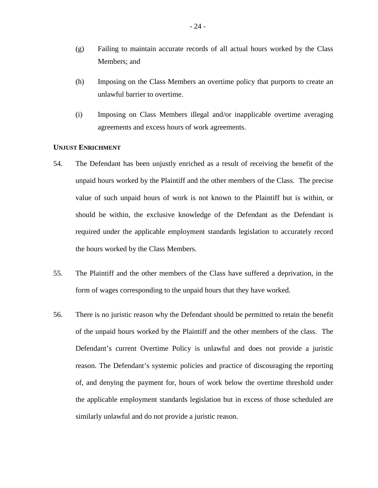- (g) Failing to maintain accurate records of all actual hours worked by the Class Members; and
- (h) Imposing on the Class Members an overtime policy that purports to create an unlawful barrier to overtime.
- (i) Imposing on Class Members illegal and/or inapplicable overtime averaging agreements and excess hours of work agreements.

# **UNJUST ENRICHMENT**

- 54. The Defendant has been unjustly enriched as a result of receiving the benefit of the unpaid hours worked by the Plaintiff and the other members of the Class. The precise value of such unpaid hours of work is not known to the Plaintiff but is within, or should be within, the exclusive knowledge of the Defendant as the Defendant is required under the applicable employment standards legislation to accurately record the hours worked by the Class Members.
- 55. The Plaintiff and the other members of the Class have suffered a deprivation, in the form of wages corresponding to the unpaid hours that they have worked.
- 56. There is no juristic reason why the Defendant should be permitted to retain the benefit of the unpaid hours worked by the Plaintiff and the other members of the class. The Defendant's current Overtime Policy is unlawful and does not provide a juristic reason. The Defendant's systemic policies and practice of discouraging the reporting of, and denying the payment for, hours of work below the overtime threshold under the applicable employment standards legislation but in excess of those scheduled are similarly unlawful and do not provide a juristic reason.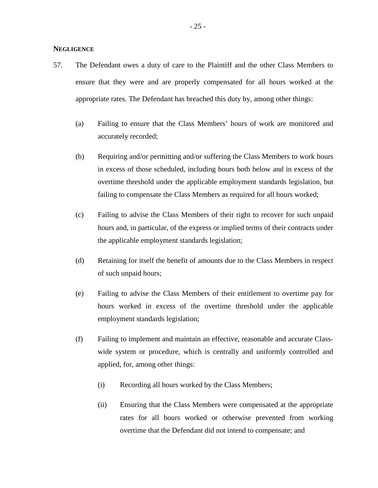### **NEGLIGENCE**

- 57. The Defendant owes a duty of care to the Plaintiff and the other Class Members to ensure that they were and are properly compensated for all hours worked at the appropriate rates. The Defendant has breached this duty by, among other things:
	- (a) Failing to ensure that the Class Members' hours of work are monitored and accurately recorded;
	- (b) Requiring and/or permitting and/or suffering the Class Members to work hours in excess of those scheduled, including hours both below and in excess of the overtime threshold under the applicable employment standards legislation, but failing to compensate the Class Members as required for all hours worked;
	- (c) Failing to advise the Class Members of their right to recover for such unpaid hours and, in particular, of the express or implied terms of their contracts under the applicable employment standards legislation;
	- (d) Retaining for itself the benefit of amounts due to the Class Members in respect of such unpaid hours;
	- (e) Failing to advise the Class Members of their entitlement to overtime pay for hours worked in excess of the overtime threshold under the applicable employment standards legislation;
	- (f) Failing to implement and maintain an effective, reasonable and accurate Classwide system or procedure, which is centrally and uniformly controlled and applied, for, among other things:
		- (i) Recording all hours worked by the Class Members;
		- (ii) Ensuring that the Class Members were compensated at the appropriate rates for all hours worked or otherwise prevented from working overtime that the Defendant did not intend to compensate; and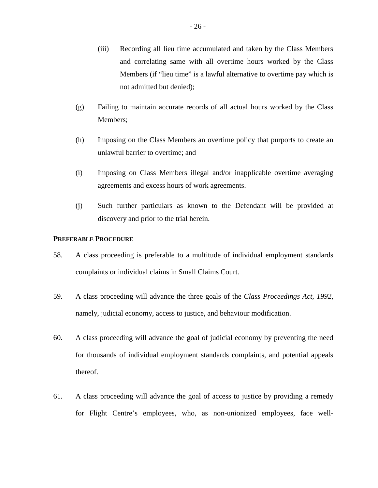- (iii) Recording all lieu time accumulated and taken by the Class Members and correlating same with all overtime hours worked by the Class Members (if "lieu time" is a lawful alternative to overtime pay which is not admitted but denied);
- (g) Failing to maintain accurate records of all actual hours worked by the Class Members;
- (h) Imposing on the Class Members an overtime policy that purports to create an unlawful barrier to overtime; and
- (i) Imposing on Class Members illegal and/or inapplicable overtime averaging agreements and excess hours of work agreements.
- (j) Such further particulars as known to the Defendant will be provided at discovery and prior to the trial herein.

### **PREFERABLE PROCEDURE**

- 58. A class proceeding is preferable to a multitude of individual employment standards complaints or individual claims in Small Claims Court.
- 59. A class proceeding will advance the three goals of the *Class Proceedings Act, 1992*, namely, judicial economy, access to justice, and behaviour modification.
- 60. A class proceeding will advance the goal of judicial economy by preventing the need for thousands of individual employment standards complaints, and potential appeals thereof.
- 61. A class proceeding will advance the goal of access to justice by providing a remedy for Flight Centre's employees, who, as non-unionized employees, face well-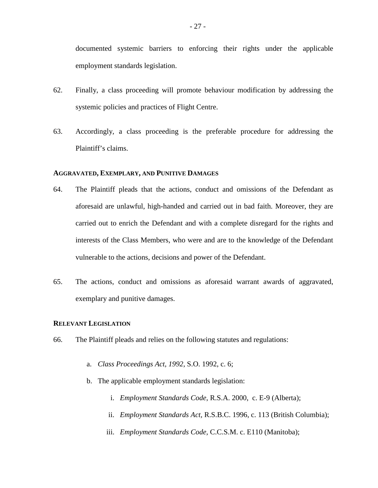documented systemic barriers to enforcing their rights under the applicable employment standards legislation.

- 62. Finally, a class proceeding will promote behaviour modification by addressing the systemic policies and practices of Flight Centre.
- 63. Accordingly, a class proceeding is the preferable procedure for addressing the Plaintiff's claims.

# **AGGRAVATED, EXEMPLARY, AND PUNITIVE DAMAGES**

- 64. The Plaintiff pleads that the actions, conduct and omissions of the Defendant as aforesaid are unlawful, high-handed and carried out in bad faith. Moreover, they are carried out to enrich the Defendant and with a complete disregard for the rights and interests of the Class Members, who were and are to the knowledge of the Defendant vulnerable to the actions, decisions and power of the Defendant.
- 65. The actions, conduct and omissions as aforesaid warrant awards of aggravated, exemplary and punitive damages.

# **RELEVANT LEGISLATION**

- 66. The Plaintiff pleads and relies on the following statutes and regulations:
	- a. *Class Proceedings Act, 1992*, S.O. 1992, c. 6;
	- b. The applicable employment standards legislation:
		- i. *Employment Standards Code*, R.S.A. 2000, c. E-9 (Alberta);
		- ii. *Employment Standards Act,* R.S.B.C. 1996, c. 113 (British Columbia);
		- iii. *Employment Standards Code,* C.C.S.M. c. E110 (Manitoba);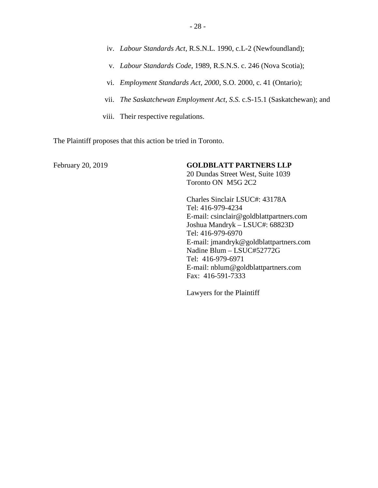- v. *Labour Standards Code*, 1989, R.S.N.S. c. 246 (Nova Scotia);
- vi. *Employment Standards Act, 2000*, S.O. 2000, c. 41 (Ontario);
- vii. *The Saskatchewan Employment Act, S.S.* c.S-15.1 (Saskatchewan); and
- viii. Their respective regulations.

The Plaintiff proposes that this action be tried in Toronto.

February 20, 2019 **GOLDBLATT PARTNERS LLP** 

20 Dundas Street West, Suite 1039 Toronto ON M5G 2C2

Charles Sinclair LSUC#: 43178A Tel: 416-979-4234 E-mail: csinclair@goldblattpartners.com Joshua Mandryk – LSUC#: 68823D Tel: 416-979-6970 E-mail: jmandryk@goldblattpartners.com Nadine Blum – LSUC#52772G Tel: 416-979-6971 E-mail: nblum@goldblattpartners.com Fax: 416-591-7333

Lawyers for the Plaintiff